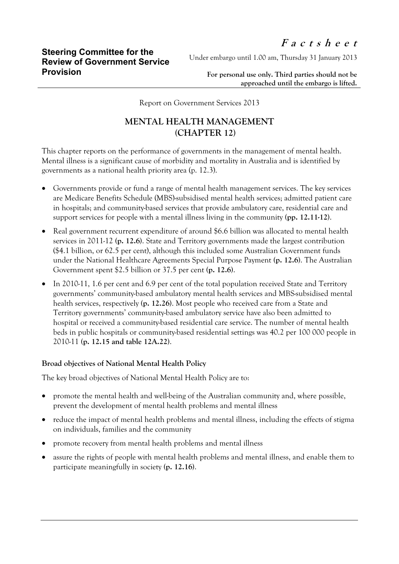Under embargo until 1.00 am, Thursday 31 January 2013

**For personal use only. Third parties should not be approached until the embargo is lifted.**

Report on Government Services 2013

## **MENTAL HEALTH MANAGEMENT (CHAPTER 12)**

This chapter reports on the performance of governments in the management of mental health. Mental illness is a significant cause of morbidity and mortality in Australia and is identified by governments as a national health priority area (p. 12.3).

- Governments provide or fund a range of mental health management services. The key services are Medicare Benefits Schedule (MBS)-subsidised mental health services; admitted patient care in hospitals; and community-based services that provide ambulatory care, residential care and support services for people with a mental illness living in the community **(pp. 12.11-12)**.
- Real government recurrent expenditure of around \$6.6 billion was allocated to mental health services in 2011-12 **(p. 12.6)**. State and Territory governments made the largest contribution (\$4.1 billion, or 62.5 per cent), although this included some Australian Government funds under the National Healthcare Agreements Special Purpose Payment **(p. 12.6)**. The Australian Government spent \$2.5 billion or 37.5 per cent **(p. 12.6)**.
- In 2010-11, 1.6 per cent and 6.9 per cent of the total population received State and Territory governments' community-based ambulatory mental health services and MBS-subsidised mental health services, respectively **(p. 12.26)**. Most people who received care from a State and Territory governments' community-based ambulatory service have also been admitted to hospital or received a community-based residential care service. The number of mental health beds in public hospitals or community-based residential settings was 40.2 per 100 000 people in 2010-11 **(p. 12.15 and table 12A.22)**.

## **Broad objectives of National Mental Health Policy**

The key broad objectives of National Mental Health Policy are to:

- promote the mental health and well-being of the Australian community and, where possible, prevent the development of mental health problems and mental illness
- reduce the impact of mental health problems and mental illness, including the effects of stigma on individuals, families and the community
- promote recovery from mental health problems and mental illness
- assure the rights of people with mental health problems and mental illness, and enable them to participate meaningfully in society **(p. 12.16)**.